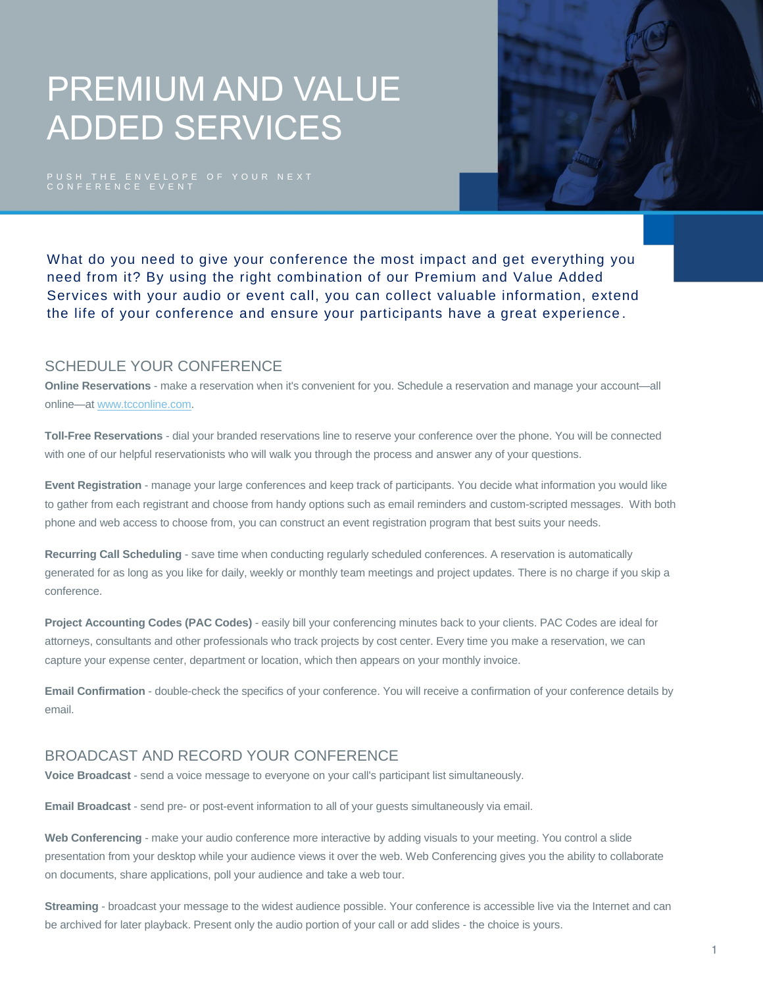# PREMIUM AND VALUE ADDED SERVICES

PUSH THE ENVELOPE OF YOUR NEXT<br>CONFERENCE EVENT



What do you need to give your conference the most impact and get everything you need from it? By using the right combination of our Premium and Value Added Services with your audio or event call, you can collect valuable information, extend the life of your conference and ensure your participants have a great experience .

### SCHEDULE YOUR CONFERENCE

**Online Reservations** - make a reservation when it's convenient for you. Schedule a reservation and manage your account—all online—at [www.tcconline.com.](http://www.tcconline.com/) 

**Toll-Free Reservations** - dial your branded reservations line to reserve your conference over the phone. You will be connected with one of our helpful reservationists who will walk you through the process and answer any of your questions.

**Event Registration** - manage your large conferences and keep track of participants. You decide what information you would like to gather from each registrant and choose from handy options such as email reminders and custom-scripted messages. With both phone and web access to choose from, you can construct an event registration program that best suits your needs.

**Recurring Call Scheduling** - save time when conducting regularly scheduled conferences. A reservation is automatically generated for as long as you like for daily, weekly or monthly team meetings and project updates. There is no charge if you skip a conference.

**Project Accounting Codes (PAC Codes)** - easily bill your conferencing minutes back to your clients. PAC Codes are ideal for attorneys, consultants and other professionals who track projects by cost center. Every time you make a reservation, we can capture your expense center, department or location, which then appears on your monthly invoice.

**Email Confirmation** - double-check the specifics of your conference. You will receive a confirmation of your conference details by email.

# BROADCAST AND RECORD YOUR CONFERENCE

**Voice Broadcast** - send a voice message to everyone on your call's participant list simultaneously.

**Email Broadcast** - send pre- or post-event information to all of your guests simultaneously via email.

**Web Conferencing** - make your audio conference more interactive by adding visuals to your meeting. You control a slide presentation from your desktop while your audience views it over the web. Web Conferencing gives you the ability to collaborate on documents, share applications, poll your audience and take a web tour.

**Streaming** - broadcast your message to the widest audience possible. Your conference is accessible live via the Internet and can be archived for later playback. Present only the audio portion of your call or add slides - the choice is yours.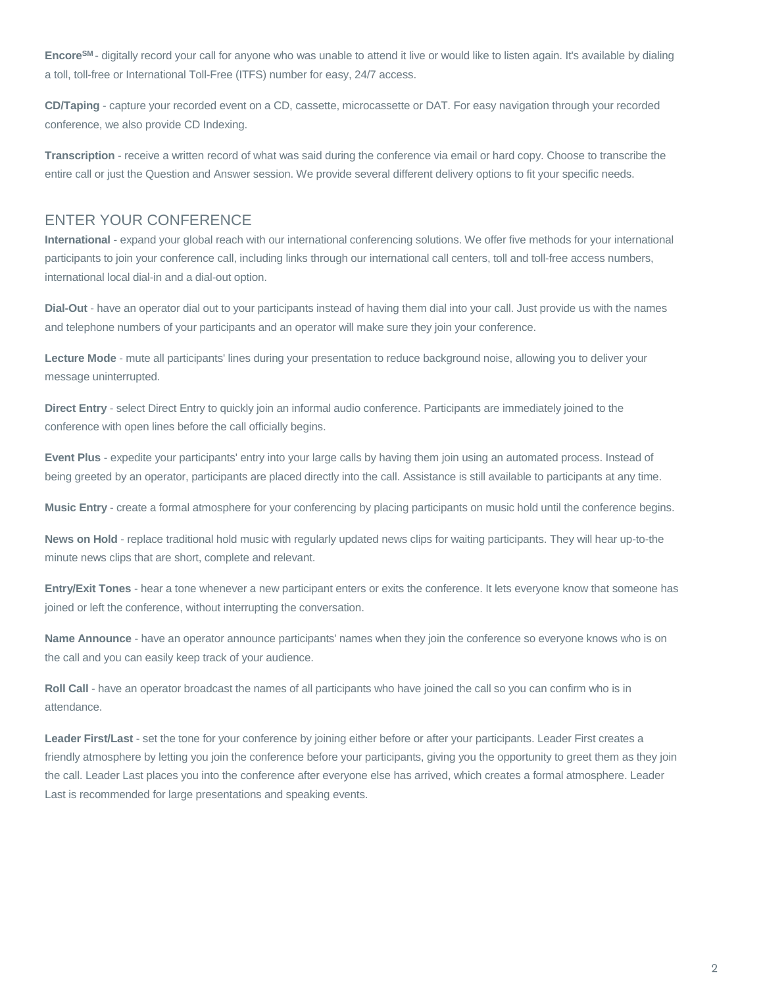**EncoreSM** - digitally record your call for anyone who was unable to attend it live or would like to listen again. It's available by dialing a toll, toll-free or International Toll-Free (ITFS) number for easy, 24/7 access.

**CD/Taping** - capture your recorded event on a CD, cassette, microcassette or DAT. For easy navigation through your recorded conference, we also provide CD Indexing.

**Transcription** - receive a written record of what was said during the conference via email or hard copy. Choose to transcribe the entire call or just the Question and Answer session. We provide several different delivery options to fit your specific needs.

### ENTER YOUR CONFERENCE

**International** - expand your global reach with our international conferencing solutions. We offer five methods for your international participants to join your conference call, including links through our international call centers, toll and toll-free access numbers, international local dial-in and a dial-out option.

**Dial-Out** - have an operator dial out to your participants instead of having them dial into your call. Just provide us with the names and telephone numbers of your participants and an operator will make sure they join your conference.

**Lecture Mode** - mute all participants' lines during your presentation to reduce background noise, allowing you to deliver your message uninterrupted.

**Direct Entry** - select Direct Entry to quickly join an informal audio conference. Participants are immediately joined to the conference with open lines before the call officially begins.

**Event Plus** - expedite your participants' entry into your large calls by having them join using an automated process. Instead of being greeted by an operator, participants are placed directly into the call. Assistance is still available to participants at any time.

**Music Entry** - create a formal atmosphere for your conferencing by placing participants on music hold until the conference begins.

**News on Hold** - replace traditional hold music with regularly updated news clips for waiting participants. They will hear up-to-the minute news clips that are short, complete and relevant.

**Entry/Exit Tones** - hear a tone whenever a new participant enters or exits the conference. It lets everyone know that someone has joined or left the conference, without interrupting the conversation.

**Name Announce** - have an operator announce participants' names when they join the conference so everyone knows who is on the call and you can easily keep track of your audience.

**Roll Call** - have an operator broadcast the names of all participants who have joined the call so you can confirm who is in attendance.

**Leader First/Last** - set the tone for your conference by joining either before or after your participants. Leader First creates a friendly atmosphere by letting you join the conference before your participants, giving you the opportunity to greet them as they join the call. Leader Last places you into the conference after everyone else has arrived, which creates a formal atmosphere. Leader Last is recommended for large presentations and speaking events.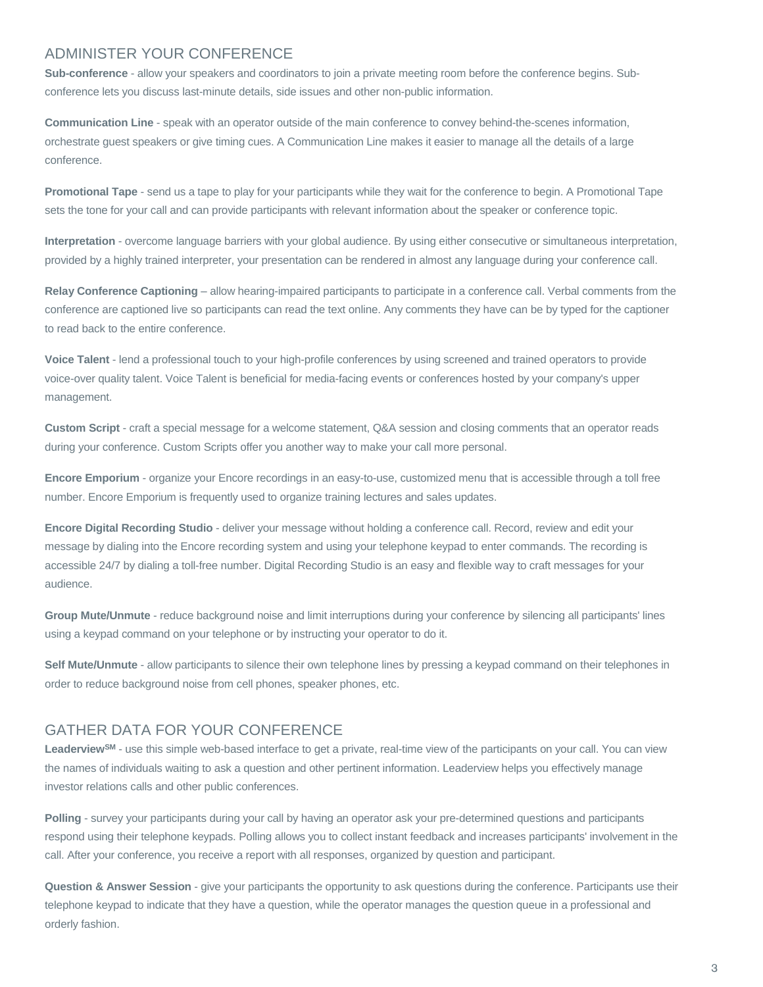#### ADMINISTER YOUR CONFERENCE

**Sub-conference** - allow your speakers and coordinators to join a private meeting room before the conference begins. Subconference lets you discuss last-minute details, side issues and other non-public information.

**Communication Line** - speak with an operator outside of the main conference to convey behind-the-scenes information, orchestrate guest speakers or give timing cues. A Communication Line makes it easier to manage all the details of a large conference.

**Promotional Tape** - send us a tape to play for your participants while they wait for the conference to begin. A Promotional Tape sets the tone for your call and can provide participants with relevant information about the speaker or conference topic.

**Interpretation** - overcome language barriers with your global audience. By using either consecutive or simultaneous interpretation, provided by a highly trained interpreter, your presentation can be rendered in almost any language during your conference call.

**Relay Conference Captioning** – allow hearing-impaired participants to participate in a conference call. Verbal comments from the conference are captioned live so participants can read the text online. Any comments they have can be by typed for the captioner to read back to the entire conference.

**Voice Talent** - lend a professional touch to your high-profile conferences by using screened and trained operators to provide voice-over quality talent. Voice Talent is beneficial for media-facing events or conferences hosted by your company's upper management.

**Custom Script** - craft a special message for a welcome statement, Q&A session and closing comments that an operator reads during your conference. Custom Scripts offer you another way to make your call more personal.

**Encore Emporium** - organize your Encore recordings in an easy-to-use, customized menu that is accessible through a toll free number. Encore Emporium is frequently used to organize training lectures and sales updates.

**Encore Digital Recording Studio** - deliver your message without holding a conference call. Record, review and edit your message by dialing into the Encore recording system and using your telephone keypad to enter commands. The recording is accessible 24/7 by dialing a toll-free number. Digital Recording Studio is an easy and flexible way to craft messages for your audience.

**Group Mute/Unmute** - reduce background noise and limit interruptions during your conference by silencing all participants' lines using a keypad command on your telephone or by instructing your operator to do it.

**Self Mute/Unmute** - allow participants to silence their own telephone lines by pressing a keypad command on their telephones in order to reduce background noise from cell phones, speaker phones, etc.

## GATHER DATA FOR YOUR CONFERENCE

**LeaderviewSM** - use this simple web-based interface to get a private, real-time view of the participants on your call. You can view the names of individuals waiting to ask a question and other pertinent information. Leaderview helps you effectively manage investor relations calls and other public conferences.

**Polling** - survey your participants during your call by having an operator ask your pre-determined questions and participants respond using their telephone keypads. Polling allows you to collect instant feedback and increases participants' involvement in the call. After your conference, you receive a report with all responses, organized by question and participant.

**Question & Answer Session** - give your participants the opportunity to ask questions during the conference. Participants use their telephone keypad to indicate that they have a question, while the operator manages the question queue in a professional and orderly fashion.